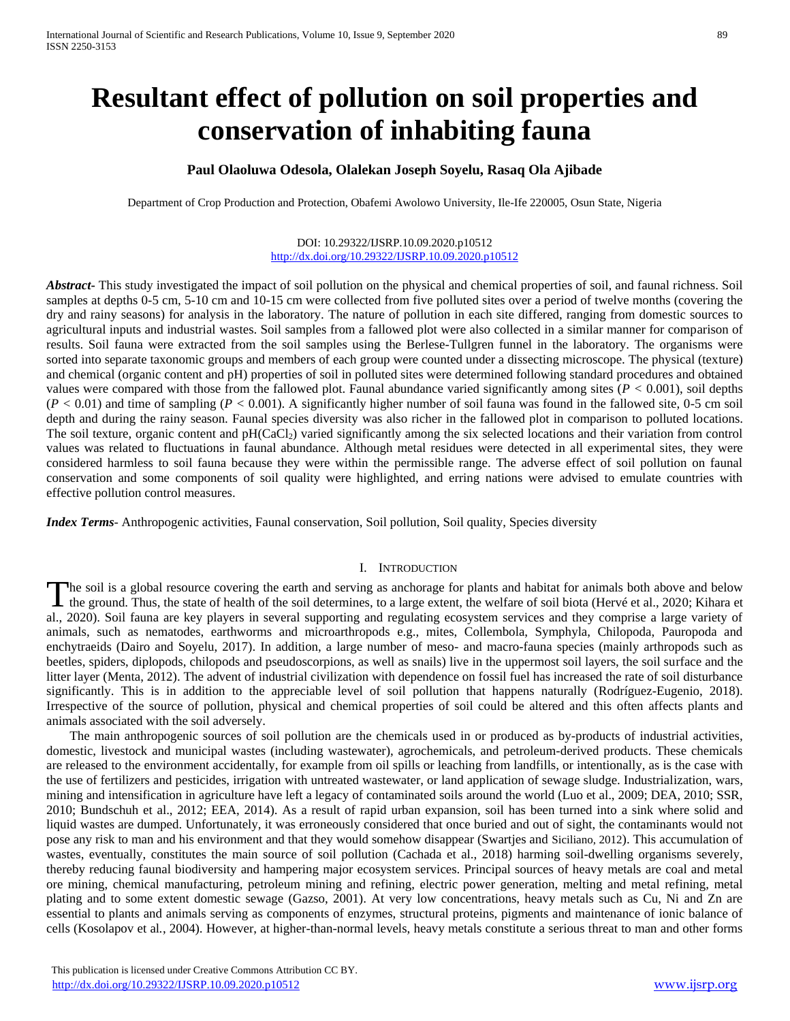# **Resultant effect of pollution on soil properties and conservation of inhabiting fauna**

## **Paul Olaoluwa Odesola, Olalekan Joseph Soyelu, Rasaq Ola Ajibade**

Department of Crop Production and Protection, Obafemi Awolowo University, Ile-Ife 220005, Osun State, Nigeria

#### DOI: 10.29322/IJSRP.10.09.2020.p10512 <http://dx.doi.org/10.29322/IJSRP.10.09.2020.p10512>

*Abstract***-** This study investigated the impact of soil pollution on the physical and chemical properties of soil, and faunal richness. Soil samples at depths 0-5 cm, 5-10 cm and 10-15 cm were collected from five polluted sites over a period of twelve months (covering the dry and rainy seasons) for analysis in the laboratory. The nature of pollution in each site differed, ranging from domestic sources to agricultural inputs and industrial wastes. Soil samples from a fallowed plot were also collected in a similar manner for comparison of results. Soil fauna were extracted from the soil samples using the Berlese-Tullgren funnel in the laboratory. The organisms were sorted into separate taxonomic groups and members of each group were counted under a dissecting microscope. The physical (texture) and chemical (organic content and pH) properties of soil in polluted sites were determined following standard procedures and obtained values were compared with those from the fallowed plot. Faunal abundance varied significantly among sites (*P <* 0.001), soil depths  $(P < 0.01)$  and time of sampling  $(P < 0.001)$ . A significantly higher number of soil fauna was found in the fallowed site, 0-5 cm soil depth and during the rainy season. Faunal species diversity was also richer in the fallowed plot in comparison to polluted locations. The soil texture, organic content and  $pH(CaCl<sub>2</sub>)$  varied significantly among the six selected locations and their variation from control values was related to fluctuations in faunal abundance. Although metal residues were detected in all experimental sites, they were considered harmless to soil fauna because they were within the permissible range. The adverse effect of soil pollution on faunal conservation and some components of soil quality were highlighted, and erring nations were advised to emulate countries with effective pollution control measures.

*Index Terms*- Anthropogenic activities, Faunal conservation, Soil pollution, Soil quality, Species diversity

#### I. INTRODUCTION

The soil is a global resource covering the earth and serving as anchorage for plants and habitat for animals both above and below The soil is a global resource covering the earth and serving as anchorage for plants and habitat for animals both above and below the ground. Thus, the state of health of the soil determines, to a large extent, the welfare al., 2020). Soil fauna are key players in several supporting and regulating ecosystem services and they comprise a large variety of animals, such as nematodes, earthworms and microarthropods e.g., mites, Collembola, Symphyla, Chilopoda, Pauropoda and enchytraeids (Dairo and Soyelu, 2017). In addition, a large number of meso- and macro-fauna species (mainly arthropods such as beetles, spiders, diplopods, chilopods and pseudoscorpions, as well as snails) live in the uppermost soil layers, the soil surface and the litter layer (Menta, 2012). The advent of industrial civilization with dependence on fossil fuel has increased the rate of soil disturbance significantly. This is in addition to the appreciable level of soil pollution that happens naturally (Rodríguez-Eugenio, 2018). Irrespective of the source of pollution, physical and chemical properties of soil could be altered and this often affects plants and animals associated with the soil adversely.

The main anthropogenic sources of soil pollution are the chemicals used in or produced as by-products of industrial activities, domestic, livestock and municipal wastes (including wastewater), agrochemicals, and petroleum-derived products. These chemicals are released to the environment accidentally, for example from oil spills or leaching from landfills, or intentionally, as is the case with the use of fertilizers and pesticides, irrigation with untreated wastewater, or land application of sewage sludge. Industrialization, wars, mining and intensification in agriculture have left a legacy of contaminated soils around the world (Luo et al., 2009; DEA, 2010; SSR, 2010; Bundschuh et al., 2012; EEA, 2014). As a result of rapid urban expansion, soil has been turned into a sink where solid and liquid wastes are dumped. Unfortunately, it was erroneously considered that once buried and out of sight, the contaminants would not pose any risk to man and his environment and that they would somehow disappear (Swartjes and Siciliano, 2012). This accumulation of wastes, eventually, constitutes the main source of soil pollution (Cachada et al., 2018) harming soil-dwelling organisms severely, thereby reducing faunal biodiversity and hampering major ecosystem services. Principal sources of heavy metals are coal and metal ore mining, chemical manufacturing, petroleum mining and refining, electric power generation, melting and metal refining, metal plating and to some extent domestic sewage (Gazso, 2001). At very low concentrations, heavy metals such as Cu, Ni and Zn are essential to plants and animals serving as components of enzymes, structural proteins, pigments and maintenance of ionic balance of cells (Kosolapov et al*.*, 2004). However, at higher-than-normal levels, heavy metals constitute a serious threat to man and other forms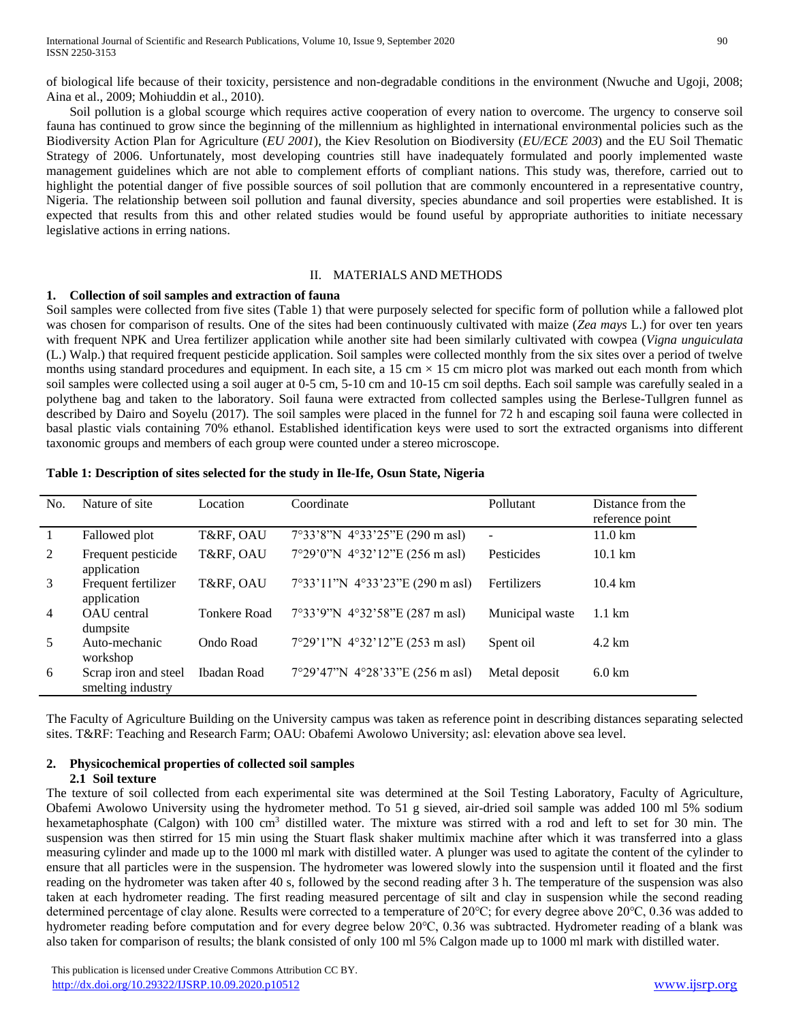of biological life because of their toxicity, persistence and non-degradable conditions in the environment (Nwuche and Ugoji, 2008; Aina et al., 2009; Mohiuddin et al., 2010).

Soil pollution is a global scourge which requires active cooperation of every nation to overcome. The urgency to conserve soil fauna has continued to grow since the beginning of the millennium as highlighted in international environmental policies such as the Biodiversity Action Plan for Agriculture (*EU 2001*), the Kiev Resolution on Biodiversity (*EU/ECE 2003*) and the EU Soil Thematic Strategy of 2006. Unfortunately, most developing countries still have inadequately formulated and poorly implemented waste management guidelines which are not able to complement efforts of compliant nations. This study was, therefore, carried out to highlight the potential danger of five possible sources of soil pollution that are commonly encountered in a representative country, Nigeria. The relationship between soil pollution and faunal diversity, species abundance and soil properties were established. It is expected that results from this and other related studies would be found useful by appropriate authorities to initiate necessary legislative actions in erring nations.

#### II. MATERIALS AND METHODS

#### **1. Collection of soil samples and extraction of fauna**

Soil samples were collected from five sites (Table 1) that were purposely selected for specific form of pollution while a fallowed plot was chosen for comparison of results. One of the sites had been continuously cultivated with maize (*Zea mays* L.) for over ten years with frequent NPK and Urea fertilizer application while another site had been similarly cultivated with cowpea (*Vigna unguiculata*  (L.) Walp.) that required frequent pesticide application. Soil samples were collected monthly from the six sites over a period of twelve months using standard procedures and equipment. In each site, a 15 cm  $\times$  15 cm micro plot was marked out each month from which soil samples were collected using a soil auger at 0-5 cm, 5-10 cm and 10-15 cm soil depths. Each soil sample was carefully sealed in a polythene bag and taken to the laboratory. Soil fauna were extracted from collected samples using the Berlese-Tullgren funnel as described by Dairo and Soyelu (2017). The soil samples were placed in the funnel for 72 h and escaping soil fauna were collected in basal plastic vials containing 70% ethanol. Established identification keys were used to sort the extracted organisms into different taxonomic groups and members of each group were counted under a stereo microscope.

| No.            | Nature of site                            | Location            | Coordinate                        | Pollutant       | Distance from the<br>reference point |
|----------------|-------------------------------------------|---------------------|-----------------------------------|-----------------|--------------------------------------|
|                | Fallowed plot                             | T&RF, OAU           | 7°33'8"N 4°33'25"E (290 m asl)    | $\sim$          | $11.0 \mathrm{km}$                   |
| 2              | Frequent pesticide<br>application         | T&RF, OAU           | $7°29'0''N$ 4°32'12"E (256 m asl) | Pesticides      | $10.1 \text{ km}$                    |
| 3              | Frequent fertilizer<br>application        | T&RF, OAU           | 7°33'11"N 4°33'23"E (290 m asl)   | Fertilizers     | $10.4 \text{ km}$                    |
| $\overline{4}$ | OAU central<br>dumpsite                   | <b>Tonkere Road</b> | 7°33'9"N 4°32'58"E (287 m asl)    | Municipal waste | $1.1 \text{ km}$                     |
| 5              | Auto-mechanic<br>workshop                 | Ondo Road           | 7°29'1"N 4°32'12"E (253 m asl)    | Spent oil       | $4.2 \text{ km}$                     |
| 6              | Scrap iron and steel<br>smelting industry | Ibadan Road         | 7°29'47"N 4°28'33"E (256 m asl)   | Metal deposit   | $6.0 \text{ km}$                     |

**Table 1: Description of sites selected for the study in Ile-Ife, Osun State, Nigeria**

The Faculty of Agriculture Building on the University campus was taken as reference point in describing distances separating selected sites. T&RF: Teaching and Research Farm; OAU: Obafemi Awolowo University; asl: elevation above sea level.

# **2. Physicochemical properties of collected soil samples**

### **2.1 Soil texture**

The texture of soil collected from each experimental site was determined at the Soil Testing Laboratory, Faculty of Agriculture, Obafemi Awolowo University using the hydrometer method. To 51 g sieved, air-dried soil sample was added 100 ml 5% sodium hexametaphosphate (Calgon) with 100 cm<sup>3</sup> distilled water. The mixture was stirred with a rod and left to set for 30 min. The suspension was then stirred for 15 min using the Stuart flask shaker multimix machine after which it was transferred into a glass measuring cylinder and made up to the 1000 ml mark with distilled water. A plunger was used to agitate the content of the cylinder to ensure that all particles were in the suspension. The hydrometer was lowered slowly into the suspension until it floated and the first reading on the hydrometer was taken after 40 s, followed by the second reading after 3 h. The temperature of the suspension was also taken at each hydrometer reading. The first reading measured percentage of silt and clay in suspension while the second reading determined percentage of clay alone. Results were corrected to a temperature of 20℃; for every degree above 20℃, 0.36 was added to hydrometer reading before computation and for every degree below 20℃, 0.36 was subtracted. Hydrometer reading of a blank was also taken for comparison of results; the blank consisted of only 100 ml 5% Calgon made up to 1000 ml mark with distilled water.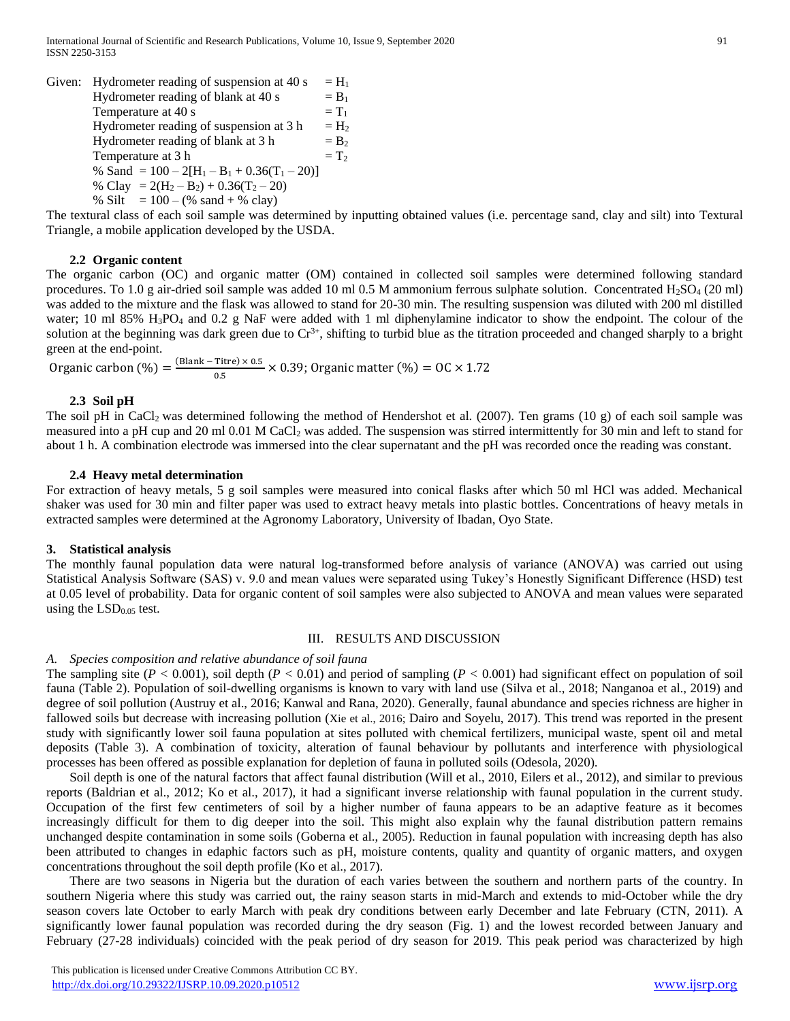Given: Hydrometer reading of suspension at 40 s =  $H_1$ Hydrometer reading of blank at 40 s  $= B_1$ Temperature at 40 s  $= T_1$ Hydrometer reading of suspension at 3 h =  $H_2$ Hydrometer reading of blank at 3 h  $=$  B<sub>2</sub> Temperature at 3 h  $= T_2$ % Sand =  $100 - 2[H_1 - B_1 + 0.36(T_1 - 20)]$ % Clay =  $2(H_2 - B_2) + 0.36(T_2 - 20)$ % Silt  $= 100 - (% \text{ sand} + % \text{clav})$ 

The textural class of each soil sample was determined by inputting obtained values (i.e. percentage sand, clay and silt) into Textural Triangle, a mobile application developed by the USDA.

#### **2.2 Organic content**

The organic carbon (OC) and organic matter (OM) contained in collected soil samples were determined following standard procedures. To 1.0 g air-dried soil sample was added 10 ml 0.5 M ammonium ferrous sulphate solution. Concentrated H<sub>2</sub>SO<sub>4</sub> (20 ml) was added to the mixture and the flask was allowed to stand for 20-30 min. The resulting suspension was diluted with 200 ml distilled water; 10 ml 85% H<sub>3</sub>PO<sub>4</sub> and 0.2 g NaF were added with 1 ml diphenylamine indicator to show the endpoint. The colour of the solution at the beginning was dark green due to  $Cr^{3+}$ , shifting to turbid blue as the titration proceeded and changed sharply to a bright green at the end-point.

Organic carbon  $(\%) = \frac{(Blank - Titre) \times 0.5}{0.5}$  $\frac{101}{0.5}$  × 0.39; Organic matter (%) = OC × 1.72

#### **2.3 Soil pH**

The soil pH in CaCl<sub>2</sub> was determined following the method of Hendershot et al. (2007). Ten grams (10 g) of each soil sample was measured into a pH cup and 20 ml 0.01 M CaCl<sub>2</sub> was added. The suspension was stirred intermittently for 30 min and left to stand for about 1 h. A combination electrode was immersed into the clear supernatant and the pH was recorded once the reading was constant.

#### **2.4 Heavy metal determination**

For extraction of heavy metals, 5 g soil samples were measured into conical flasks after which 50 ml HCl was added. Mechanical shaker was used for 30 min and filter paper was used to extract heavy metals into plastic bottles. Concentrations of heavy metals in extracted samples were determined at the Agronomy Laboratory, University of Ibadan, Oyo State.

#### **3. Statistical analysis**

The monthly faunal population data were natural log-transformed before analysis of variance (ANOVA) was carried out using Statistical Analysis Software (SAS) v. 9.0 and mean values were separated using Tukey's Honestly Significant Difference (HSD) test at 0.05 level of probability. Data for organic content of soil samples were also subjected to ANOVA and mean values were separated using the  $LSD<sub>0.05</sub>$  test.

#### III. RESULTS AND DISCUSSION

#### *A. Species composition and relative abundance of soil fauna*

The sampling site ( $P < 0.001$ ), soil depth ( $P < 0.01$ ) and period of sampling ( $P < 0.001$ ) had significant effect on population of soil fauna (Table 2). Population of soil-dwelling organisms is known to vary with land use (Silva et al., 2018; Nanganoa et al., 2019) and degree of soil pollution (Austruy et al., 2016; Kanwal and Rana, 2020). Generally, faunal abundance and species richness are higher in fallowed soils but decrease with increasing pollution (Xie et al., 2016; Dairo and Soyelu, 2017). This trend was reported in the present study with significantly lower soil fauna population at sites polluted with chemical fertilizers, municipal waste, spent oil and metal deposits (Table 3). A combination of toxicity, alteration of faunal behaviour by pollutants and interference with physiological processes has been offered as possible explanation for depletion of fauna in polluted soils (Odesola, 2020).

Soil depth is one of the natural factors that affect faunal distribution (Will et al., 2010, Eilers et al., 2012), and similar to previous reports (Baldrian et al., 2012; Ko et al., 2017), it had a significant inverse relationship with faunal population in the current study. Occupation of the first few centimeters of soil by a higher number of fauna appears to be an adaptive feature as it becomes increasingly difficult for them to dig deeper into the soil. This might also explain why the faunal distribution pattern remains unchanged despite contamination in some soils (Goberna et al., 2005). Reduction in faunal population with increasing depth has also been attributed to changes in edaphic factors such as pH, moisture contents, quality and quantity of organic matters, and oxygen concentrations throughout the soil depth profile (Ko et al., 2017).

There are two seasons in Nigeria but the duration of each varies between the southern and northern parts of the country. In southern Nigeria where this study was carried out, the rainy season starts in mid-March and extends to mid-October while the dry season covers late October to early March with peak dry conditions between early December and late February (CTN, 2011). A significantly lower faunal population was recorded during the dry season (Fig. 1) and the lowest recorded between January and February (27-28 individuals) coincided with the peak period of dry season for 2019. This peak period was characterized by high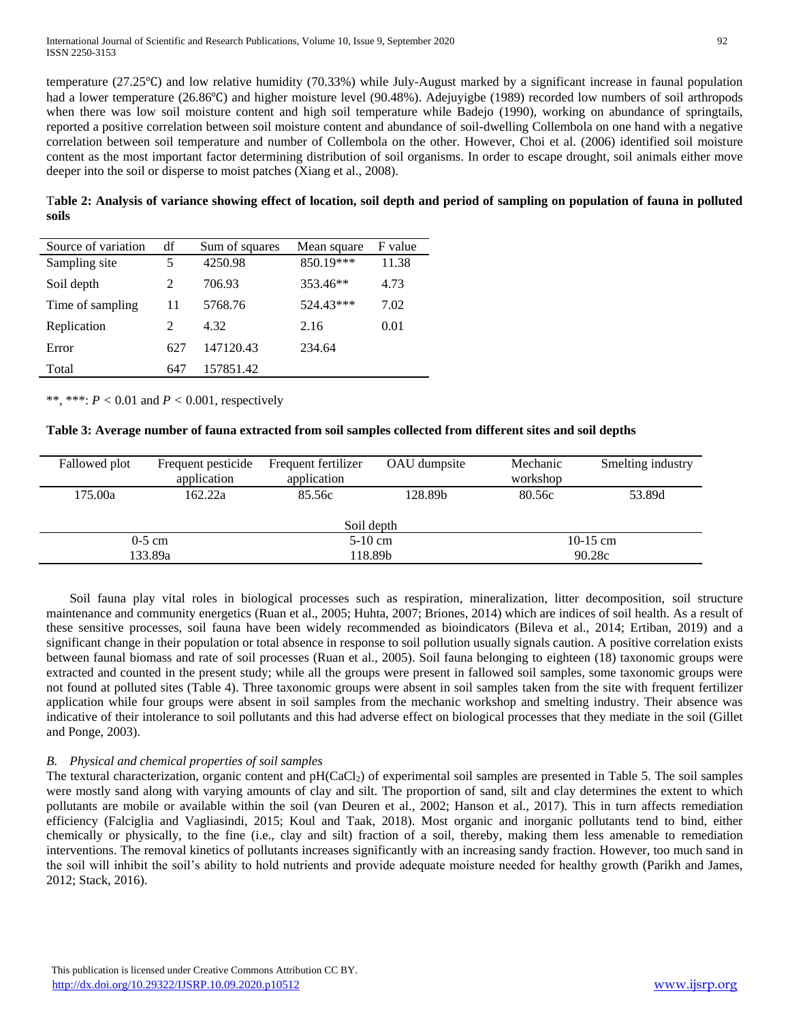temperature (27.25℃) and low relative humidity (70.33%) while July-August marked by a significant increase in faunal population had a lower temperature (26.86°C) and higher moisture level (90.48%). Adejuyigbe (1989) recorded low numbers of soil arthropods when there was low soil moisture content and high soil temperature while Badejo (1990), working on abundance of springtails, reported a positive correlation between soil moisture content and abundance of soil-dwelling Collembola on one hand with a negative correlation between soil temperature and number of Collembola on the other. However, Choi et al. (2006) identified soil moisture content as the most important factor determining distribution of soil organisms. In order to escape drought, soil animals either move deeper into the soil or disperse to moist patches (Xiang et al., 2008).

T**able 2: Analysis of variance showing effect of location, soil depth and period of sampling on population of fauna in polluted soils**

| Source of variation | df                          | Sum of squares | Mean square | F value |
|---------------------|-----------------------------|----------------|-------------|---------|
| Sampling site       | 5                           | 4250.98        | 850.19***   | 11.38   |
| Soil depth          | 2                           | 706.93         | 353.46**    | 4.73    |
| Time of sampling    | 11                          | 5768.76        | 524.43***   | 7.02    |
| Replication         | $\mathcal{D}_{\mathcal{L}}$ | 4.32           | 2.16        | 0.01    |
| Error               | 627                         | 147120.43      | 234.64      |         |
| Total               | 647                         | 157851.42      |             |         |

\*\*, \*\*\*:  $P < 0.01$  and  $P < 0.001$ , respectively

#### **Table 3: Average number of fauna extracted from soil samples collected from different sites and soil depths**

| Fallowed plot | Frequent pesticide<br>application | Frequent fertilizer<br>application | OAU dumpsite      | Mechanic<br>workshop | Smelting industry |  |
|---------------|-----------------------------------|------------------------------------|-------------------|----------------------|-------------------|--|
| 175.00a       | 162.22a                           | 85.56c                             | 128.89b<br>80.56c |                      | 53.89d            |  |
|               |                                   | Soil depth                         |                   |                      |                   |  |
|               | $0-5$ cm                          | $5-10$ cm                          |                   | 10-15 cm             |                   |  |
|               | 133.89a                           | 90.28c<br>118.89b                  |                   |                      |                   |  |

Soil fauna play vital roles in biological processes such as respiration, mineralization, litter decomposition, soil structure maintenance and community energetics (Ruan et al., 2005; Huhta, 2007; Briones, 2014) which are indices of soil health. As a result of these sensitive processes, soil fauna have been widely recommended as bioindicators (Bileva et al., 2014; Ertiban, 2019) and a significant change in their population or total absence in response to soil pollution usually signals caution. A positive correlation exists between faunal biomass and rate of soil processes (Ruan et al., 2005). Soil fauna belonging to eighteen (18) taxonomic groups were extracted and counted in the present study; while all the groups were present in fallowed soil samples, some taxonomic groups were not found at polluted sites (Table 4). Three taxonomic groups were absent in soil samples taken from the site with frequent fertilizer application while four groups were absent in soil samples from the mechanic workshop and smelting industry. Their absence was indicative of their intolerance to soil pollutants and this had adverse effect on biological processes that they mediate in the soil (Gillet and Ponge, 2003).

# *B. Physical and chemical properties of soil samples*

The textural characterization, organic content and  $pH(CaCl<sub>2</sub>)$  of experimental soil samples are presented in Table 5. The soil samples were mostly sand along with varying amounts of clay and silt. The proportion of sand, silt and clay determines the extent to which pollutants are mobile or available within the soil (van Deuren et al., 2002; Hanson et al., 2017). This in turn affects remediation efficiency (Falciglia and Vagliasindi, 2015; Koul and Taak, 2018). Most organic and inorganic pollutants tend to bind, either chemically or physically, to the fine (i.e., clay and silt) fraction of a soil, thereby, making them less amenable to remediation interventions. The removal kinetics of pollutants increases significantly with an increasing sandy fraction. However, too much sand in the soil will inhibit the soil's ability to hold nutrients and provide adequate moisture needed for healthy growth (Parikh and James, 2012; Stack, 2016).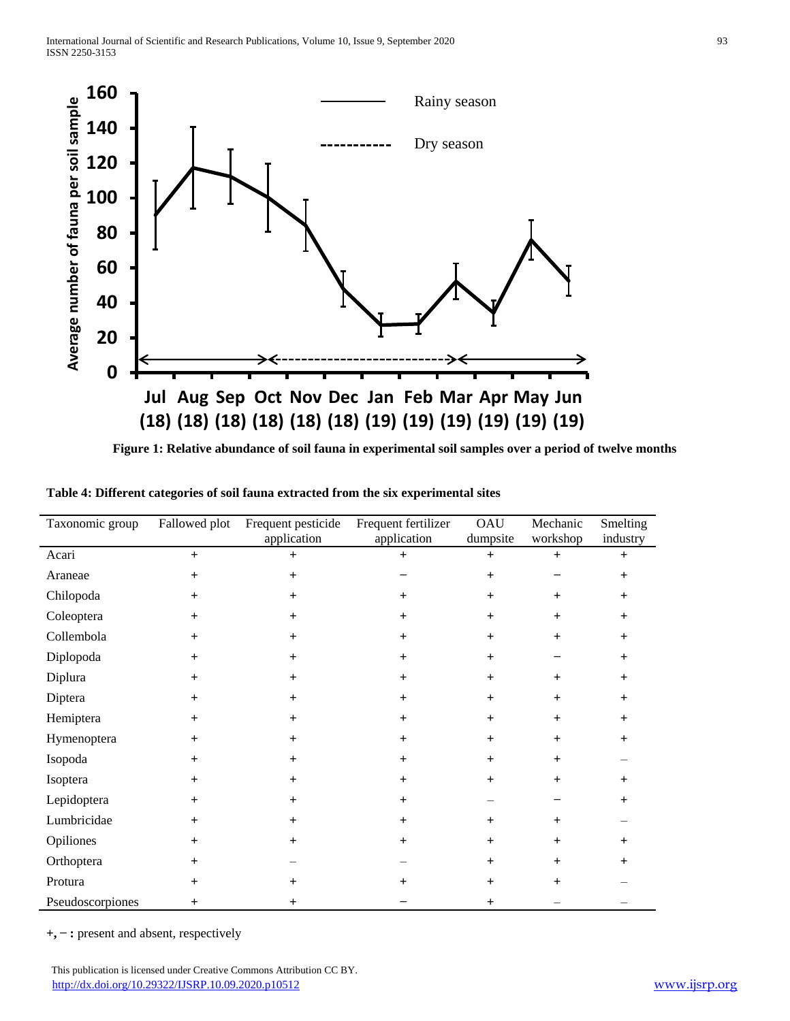

**Figure 1: Relative abundance of soil fauna in experimental soil samples over a period of twelve months**

| Table 4: Different categories of soil fauna extracted from the six experimental sites |  |
|---------------------------------------------------------------------------------------|--|
|---------------------------------------------------------------------------------------|--|

| Taxonomic group  | Fallowed plot | Frequent pesticide<br>application | Frequent fertilizer<br>application | OAU<br>dumpsite | Mechanic<br>workshop | Smelting<br>industry |
|------------------|---------------|-----------------------------------|------------------------------------|-----------------|----------------------|----------------------|
| Acari            | $+$           | $+$                               | $+$                                | $+$             | $+$                  | $+$                  |
| Araneae          | $+$           | $+$                               |                                    | $+$             |                      | $+$                  |
| Chilopoda        | $+$           | $+$                               | $+$                                | $+$             | $+$                  | $+$                  |
| Coleoptera       | $^{+}$        | $^{+}$                            | $\ddot{}$                          | $\ddot{}$       | $\pm$                | $+$                  |
| Collembola       | $+$           | $+$                               | $+$                                | $+$             | $+$                  | $+$                  |
| Diplopoda        | $^{+}$        | $^{+}$                            | $+$                                | $\ddot{}$       |                      | $\pm$                |
| Diplura          | $\ddot{}$     | $\ddot{}$                         | $\ddot{}$                          | $\ddot{}$       | $+$                  | $+$                  |
| Diptera          | $\ddot{}$     | $+$                               | $+$                                | $+$             | $+$                  | $+$                  |
| Hemiptera        | $+$           | $+$                               | $+$                                | $+$             | $+$                  | $+$                  |
| Hymenoptera      | $^{+}$        | $^{+}$                            | $+$                                | $\ddot{}$       | $+$                  | $+$                  |
| Isopoda          | $+$           | $+$                               | $+$                                | $+$             | $+$                  |                      |
| Isoptera         | $+$           | $^{+}$                            | $+$                                | $+$             | $+$                  | $+$                  |
| Lepidoptera      | $+$           | $+$                               | $\ddot{}$                          |                 |                      | $+$                  |
| Lumbricidae      | $+$           | $^{+}$                            | $\ddot{}$                          | $+$             | $+$                  |                      |
| Opiliones        | $+$           | $\pm$                             | $+$                                | $+$             | $+$                  | $+$                  |
| Orthoptera       | $+$           |                                   |                                    | $+$             | $+$                  | $+$                  |
| Protura          | $+$           | $+$                               | $^+$                               | $+$             | $+$                  |                      |
| Pseudoscorpiones | $^{+}$        | $+$                               |                                    | $+$             |                      |                      |

**+,** ̶ **:** present and absent, respectively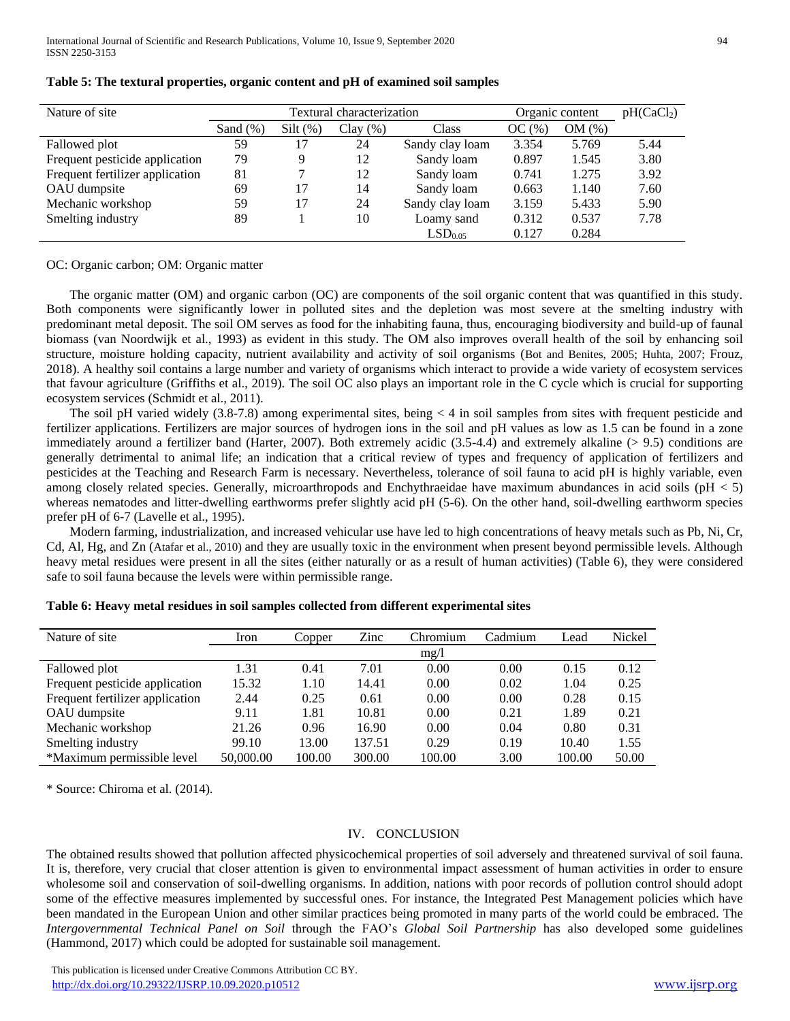| Nature of site                  | Textural characterization |            |             |                     | Organic content |       | pH(CaCl <sub>2</sub> ) |
|---------------------------------|---------------------------|------------|-------------|---------------------|-----------------|-------|------------------------|
|                                 | Sand $(\%)$               | $Silt(\%)$ | Clay $(\%)$ | Class               | OC(%)           | OM(%) |                        |
| Fallowed plot                   | 59                        | 17         | 24          | Sandy clay loam     | 3.354           | 5.769 | 5.44                   |
| Frequent pesticide application  | 79                        | 9          | 12          | Sandy loam          | 0.897           | 1.545 | 3.80                   |
| Frequent fertilizer application | 81                        |            | 12          | Sandy loam          | 0.741           | 1.275 | 3.92                   |
| OAU dumpsite                    | 69                        | 17         | 14          | Sandy loam          | 0.663           | 1.140 | 7.60                   |
| Mechanic workshop               | 59                        | 17         | 24          | Sandy clay loam     | 3.159           | 5.433 | 5.90                   |
| Smelting industry               | 89                        |            | 10          | Loamy sand          | 0.312           | 0.537 | 7.78                   |
|                                 |                           |            |             | LSD <sub>0.05</sub> | 0.127           | 0.284 |                        |

#### **Table 5: The textural properties, organic content and pH of examined soil samples**

OC: Organic carbon; OM: Organic matter

The organic matter (OM) and organic carbon (OC) are components of the soil organic content that was quantified in this study. Both components were significantly lower in polluted sites and the depletion was most severe at the smelting industry with predominant metal deposit. The soil OM serves as food for the inhabiting fauna, thus, encouraging biodiversity and build-up of faunal biomass (van Noordwijk et al., 1993) as evident in this study. The OM also improves overall health of the soil by enhancing soil structure, moisture holding capacity, nutrient availability and activity of soil organisms (Bot and Benites, 2005; Huhta, 2007; Frouz, 2018). A healthy soil contains a large number and variety of organisms which interact to provide a wide variety of ecosystem services that favour agriculture (Griffiths et al., 2019). The soil OC also plays an important role in the C cycle which is crucial for supporting ecosystem services (Schmidt et al., 2011).

The soil pH varied widely (3.8-7.8) among experimental sites, being < 4 in soil samples from sites with frequent pesticide and fertilizer applications. Fertilizers are major sources of hydrogen ions in the soil and pH values as low as 1.5 can be found in a zone immediately around a fertilizer band (Harter, 2007). Both extremely acidic (3.5-4.4) and extremely alkaline (> 9.5) conditions are generally detrimental to animal life; an indication that a critical review of types and frequency of application of fertilizers and pesticides at the Teaching and Research Farm is necessary. Nevertheless, tolerance of soil fauna to acid pH is highly variable, even among closely related species. Generally, microarthropods and Enchythraeidae have maximum abundances in acid soils (pH < 5) whereas nematodes and litter-dwelling earthworms prefer slightly acid pH (5-6). On the other hand, soil-dwelling earthworm species prefer pH of 6-7 (Lavelle et al., 1995).

Modern farming, industrialization, and increased vehicular use have led to high concentrations of heavy metals such as Pb, Ni, Cr, Cd, Al, Hg, and Zn (Atafar et al., 2010) and they are usually toxic in the environment when present beyond permissible levels. Although heavy metal residues were present in all the sites (either naturally or as a result of human activities) (Table 6), they were considered safe to soil fauna because the levels were within permissible range.

| Nature of site                  | Iron      | Copper | Zinc   | Chromium | Cadmium | Lead   | Nickel |
|---------------------------------|-----------|--------|--------|----------|---------|--------|--------|
|                                 |           |        |        | mg/1     |         |        |        |
| Fallowed plot                   | 1.31      | 0.41   | 7.01   | 0.00     | 0.00    | 0.15   | 0.12   |
| Frequent pesticide application  | 15.32     | 1.10   | 14.41  | 0.00     | 0.02    | 1.04   | 0.25   |
| Frequent fertilizer application | 2.44      | 0.25   | 0.61   | 0.00     | 0.00    | 0.28   | 0.15   |
| OAU dumpsite                    | 9.11      | 1.81   | 10.81  | 0.00     | 0.21    | 1.89   | 0.21   |
| Mechanic workshop               | 21.26     | 0.96   | 16.90  | 0.00     | 0.04    | 0.80   | 0.31   |
| Smelting industry               | 99.10     | 13.00  | 137.51 | 0.29     | 0.19    | 10.40  | 1.55   |
| *Maximum permissible level      | 50,000.00 | 100.00 | 300.00 | 100.00   | 3.00    | 100.00 | 50.00  |

#### **Table 6: Heavy metal residues in soil samples collected from different experimental sites**

\* Source: Chiroma et al. (2014).

#### IV. CONCLUSION

The obtained results showed that pollution affected physicochemical properties of soil adversely and threatened survival of soil fauna. It is, therefore, very crucial that closer attention is given to environmental impact assessment of human activities in order to ensure wholesome soil and conservation of soil-dwelling organisms. In addition, nations with poor records of pollution control should adopt some of the effective measures implemented by successful ones. For instance, the Integrated Pest Management policies which have been mandated in the European Union and other similar practices being promoted in many parts of the world could be embraced. The *Intergovernmental Technical Panel on Soil* through the FAO's *Global Soil Partnership* has also developed some guidelines (Hammond, 2017) which could be adopted for sustainable soil management.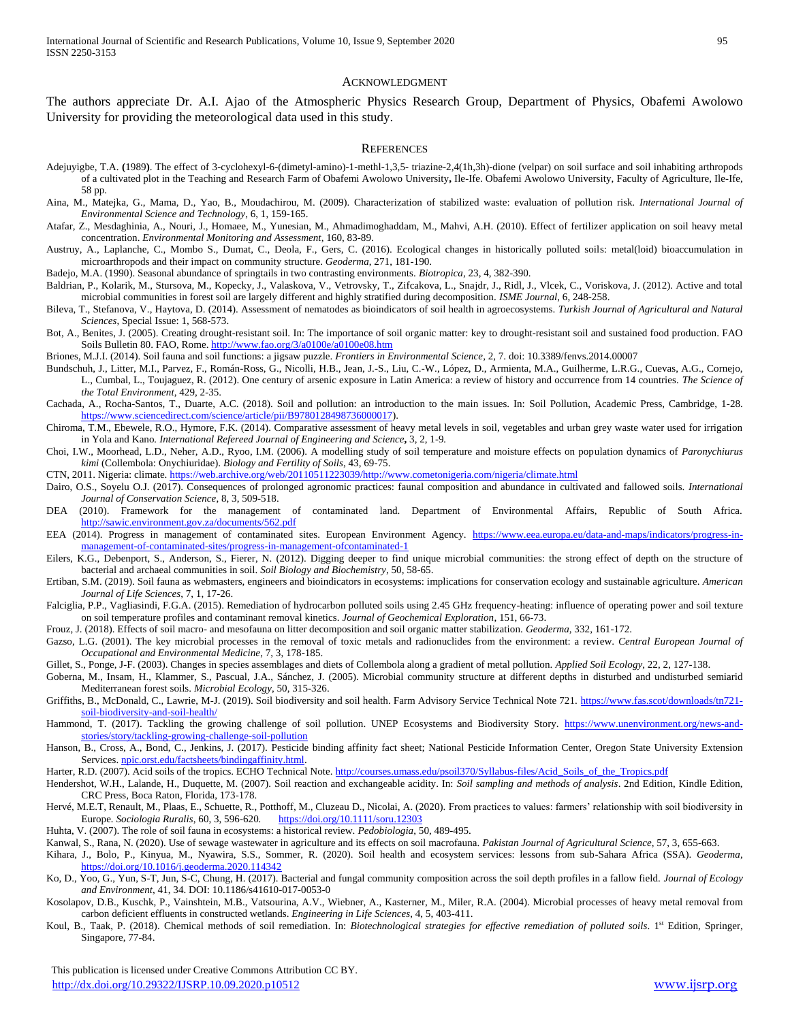#### ACKNOWLEDGMENT

The authors appreciate Dr. A.I. Ajao of the Atmospheric Physics Research Group, Department of Physics, Obafemi Awolowo University for providing the meteorological data used in this study.

#### **REFERENCES**

- Adejuyigbe, T.A. **(**1989**)**. The effect of 3-cyclohexyl-6-(dimetyl-amino)-1-methl-1,3,5- triazine-2,4(1h,3h)-dione (velpar) on soil surface and soil inhabiting arthropods of a cultivated plot in the Teaching and Research Farm of Obafemi Awolowo University**,** Ile-Ife. Obafemi Awolowo University, Faculty of Agriculture, Ile-Ife, 58 pp.
- Aina, M., Matejka, G., Mama, D., Yao, B., Moudachirou, M. (2009). Characterization of stabilized waste: evaluation of pollution risk*. International Journal of Environmental Science and Technology*, 6, 1, 159-165.
- Atafar, Z., Mesdaghinia, A., Nouri, J., Homaee, M., Yunesian, M., Ahmadimoghaddam, M., Mahvi, A.H. (2010). Effect of fertilizer application on soil heavy metal concentration. *Environmental Monitoring and Assessment*, 160, 83-89.
- Austruy, A., Laplanche, C., Mombo S., Dumat, C., Deola, F., Gers, C. (2016). Ecological changes in historically polluted soils: metal(loid) bioaccumulation in microarthropods and their impact on community structure. *Geoderma*, 271, 181-190.
- Badejo, M.A. (1990). Seasonal abundance of springtails in two contrasting environments. *Biotropica*, 23, 4, 382-390.
- Baldrian, P., Kolarik, M., Stursova, M., Kopecky, J., Valaskova, V., Vetrovsky, T., Zifcakova, L., Snajdr, J., Ridl, J., Vlcek, C., Voriskova, J. (2012). Active and total microbial communities in forest soil are largely different and highly stratified during decomposition. *ISME Journal*, 6, 248-258.
- Bileva, T., Stefanova, V., Haytova, D. (2014). Assessment of nematodes as bioindicators of soil health in agroecosystems. *Turkish Journal of Agricultural and Natural Sciences*, Special Issue: 1, 568-573.
- Bot, A., Benites, J. (2005). Creating drought-resistant soil. In: The importance of soil organic matter: key to drought-resistant soil and sustained food production. FAO Soils Bulletin 80. FAO, Rome.<http://www.fao.org/3/a0100e/a0100e08.htm>
- Briones, M.J.I. (2014). Soil fauna and soil functions: a jigsaw puzzle. *Frontiers in Environmental Science*, 2, 7. doi: 10.3389/fenvs.2014.00007
- Bundschuh, J., Litter, M.I., Parvez, F., Román-Ross, G., Nicolli, H.B., Jean, J.-S., Liu, C.-W., López, D., Armienta, M.A., Guilherme, L.R.G., Cuevas, A.G., Cornejo, L., Cumbal, L., Toujaguez, R. (2012). One century of arsenic exposure in Latin America: a review of history and occurrence from 14 countries. *The Science of the Total Environment*, 429, 2-35.
- Cachada, A., Rocha-Santos, T., Duarte, A.C. (2018). Soil and pollution: an introduction to the main issues. In: Soil Pollution, Academic Press, Cambridge, 1-28. [https://www.sciencedirect.com/science/article/pii/B9780128498736000017\).](https://www.sciencedirect.com/science/article/pii/B9780128498736000017)
- Chiroma, T.M., Ebewele, R.O., Hymore, F.K. (2014). Comparative assessment of heavy metal levels in soil, vegetables and urban grey waste water used for irrigation in Yola and Kano*. International Refereed Journal of Engineering and Science***,** 3, 2, 1-9*.*
- Choi, I.W., Moorhead, L.D., Neher, A.D., Ryoo, I.M. (2006). A modelling study of soil temperature and moisture effects on population dynamics of *Paronychiurus kimi* (Collembola: Onychiuridae). *Biology and Fertility of Soils*, 43, 69-75.
- CTN, 2011. Nigeria: climate. [https://web.archive.org/web/20110511223039/http://www.cometonigeria.com/nigeria/climate.html](https://web.archive.org/web/20110511223039/http:/www.cometonigeria.com/nigeria/climate.html)
- Dairo, O.S., Soyelu O.J. (2017). Consequences of prolonged agronomic practices: faunal composition and abundance in cultivated and fallowed soils. *International Journal of Conservation Science*, 8, 3, 509-518.
- DEA (2010). Framework for the management of contaminated land. Department of Environmental Affairs, Republic of South Africa. <http://sawic.environment.gov.za/documents/562.pdf>
- EEA (2014). Progress in management of contaminated sites. European Environment Agency. [https://www.eea.europa.eu/data-and-maps/indicators/progress-in](https://www.eea.europa.eu/data-and-maps/indicators/progress-in-management-of-contaminated-sites/progress-in-management-ofcontaminated-1)[management-of-contaminated-sites/progress-in-management-ofcontaminated-1](https://www.eea.europa.eu/data-and-maps/indicators/progress-in-management-of-contaminated-sites/progress-in-management-ofcontaminated-1)
- Eilers, K.G., Debenport, S., Anderson, S., Fierer, N. (2012). Digging deeper to find unique microbial communities: the strong effect of depth on the structure of bacterial and archaeal communities in soil. *Soil Biology and Biochemistry*, 50, 58-65.
- Ertiban, S.M. (2019). Soil fauna as webmasters, engineers and bioindicators in ecosystems: implications for conservation ecology and sustainable agriculture. *American Journal of Life Sciences*, 7, 1, 17-26.
- Falciglia, P.P., Vagliasindi, F.G.A. (2015). Remediation of hydrocarbon polluted soils using 2.45 GHz frequency-heating: influence of operating power and soil texture on soil temperature profiles and contaminant removal kinetics. *Journal of Geochemical Exploration*, 151, 66-73.
- Frouz, J. (2018). Effects of soil macro- and mesofauna on litter decomposition and soil organic matter stabilization. *Geoderma*, 332, 161-172.
- Gazso, L.G. (2001). The key microbial processes in the removal of toxic metals and radionuclides from the environment: a review. *Central European Journal of Occupational and Environmental Medicine*, 7, 3, 178-185.
- Gillet, S., Ponge, J-F. (2003). Changes in species assemblages and diets of Collembola along a gradient of metal pollution. *Applied Soil Ecology*, 22, 2, 127-138.
- Goberna, M., Insam, H., Klammer, S., Pascual, J.A., Sánchez, J. (2005). Microbial community structure at different depths in disturbed and undisturbed semiarid Mediterranean forest soils. *Microbial Ecology*, 50, 315-326.
- Griffiths, B., McDonald, C., Lawrie, M-J. (2019). Soil biodiversity and soil health. Farm Advisory Service Technical Note 721. [https://www.fas.scot/downloads/tn721](https://www.fas.scot/downloads/tn721-soil-biodiversity-and-soil-health/) [soil-biodiversity-and-soil-health/](https://www.fas.scot/downloads/tn721-soil-biodiversity-and-soil-health/)
- Hammond, T. (2017). Tackling the growing challenge of soil pollution. UNEP Ecosystems and Biodiversity Story. [https://www.unenvironment.org/news-and](https://www.unenvironment.org/news-and-stories/story/tackling-growing-challenge-soil-pollution)[stories/story/tackling-growing-challenge-soil-pollution](https://www.unenvironment.org/news-and-stories/story/tackling-growing-challenge-soil-pollution)
- Hanson, B., Cross, A., Bond, C., Jenkins, J. (2017). Pesticide binding affinity fact sheet; National Pesticide Information Center, Oregon State University Extension Services[. npic.orst.edu/factsheets/bindingaffinity.html.](http://npic.orst.edu/factsheets/bindingaffinity.html)
- Harter, R.D. (2007). Acid soils of the tropics. ECHO Technical Note. [http://courses.umass.edu/psoil370/Syllabus-files/Acid\\_Soils\\_of\\_the\\_Tropics.pdf](http://courses.umass.edu/psoil370/Syllabus-files/Acid_Soils_of_the_Tropics.pdf)
- Hendershot, W.H., Lalande, H., Duquette, M. (2007). Soil reaction and exchangeable acidity. In: *Soil sampling and methods of analysis*. 2nd Edition, Kindle Edition, CRC Press, Boca Raton, Florida, 173-178.
- Hervé, M.E.T, Renault, M., Plaas, E., Schuette, R., Potthoff, M., Cluzeau D., Nicolai, A. (2020). From practices to values: farmers' relationship with soil biodiversity in Europe*. Sociologia Ruralis*, 60, 3, 596-620*.* <https://doi.org/10.1111/soru.12303>
- Huhta, V. (2007). The role of soil fauna in ecosystems: a historical review. *Pedobiologia*, 50, 489-495.
- Kanwal, S., Rana, N. (2020). Use of sewage wastewater in agriculture and its effects on soil macrofauna. *Pakistan Journal of Agricultural Science*, 57, 3, 655-663.
- Kihara, J., Bolo, P., Kinyua, M., Nyawira, S.S., Sommer, R. (2020). Soil health and ecosystem services: lessons from sub-Sahara Africa (SSA). *Geoderma*, <https://doi.org/10.1016/j.geoderma.2020.114342>
- Ko, D., Yoo, G., Yun, S-T, Jun, S-C, Chung, H. (2017). Bacterial and fungal community composition across the soil depth profiles in a fallow field. *Journal of Ecology and Environment*, 41, 34. DOI: 10.1186/s41610-017-0053-0
- Kosolapov, D.B., Kuschk, P., Vainshtein, M.B., Vatsourina, A.V., Wiebner, A., Kasterner, M., Miler, R.A. (2004). Microbial processes of heavy metal removal from carbon deficient effluents in constructed wetlands. *Engineering in Life Sciences*, 4, 5, 403-411.
- Koul, B., Taak, P. (2018). Chemical methods of soil remediation. In: *Biotechnological strategies for effective remediation of polluted soils*. 1<sup>st</sup> Edition, Springer, Singapore, 77-84.